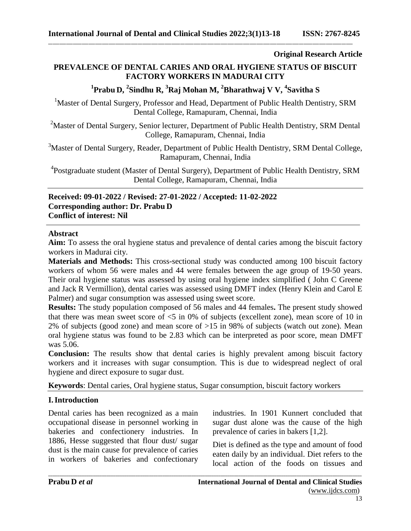**Original Research Article**

# **PREVALENCE OF DENTAL CARIES AND ORAL HYGIENE STATUS OF BISCUIT FACTORY WORKERS IN MADURAI CITY**

# **1 Prabu D, 2 Sindhu R, 3 Raj Mohan M, 2 Bharathwaj V V, 4 Savitha S**

<sup>1</sup>Master of Dental Surgery, Professor and Head, Department of Public Health Dentistry, SRM Dental College, Ramapuram, Chennai, India

<sup>2</sup>Master of Dental Surgery, Senior lecturer, Department of Public Health Dentistry, SRM Dental College, Ramapuram, Chennai, India

<sup>3</sup>Master of Dental Surgery, Reader, Department of Public Health Dentistry, SRM Dental College, Ramapuram, Chennai, India

<sup>4</sup>Postgraduate student (Master of Dental Surgery), Department of Public Health Dentistry, SRM Dental College, Ramapuram, Chennai, India

**Received: 09-01-2022 / Revised: 27-01-2022 / Accepted: 11-02-2022 Corresponding author: Dr. Prabu D Conflict of interest: Nil**

#### **Abstract**

**Aim:** To assess the oral hygiene status and prevalence of dental caries among the biscuit factory workers in Madurai city.

**Materials and Methods:** This cross-sectional study was conducted among 100 biscuit factory workers of whom 56 were males and 44 were females between the age group of 19-50 years. Their oral hygiene status was assessed by using oral hygiene index simplified ( John C Greene and Jack R Vermillion), dental caries was assessed using DMFT index (Henry Klein and Carol E Palmer) and sugar consumption was assessed using sweet score.

**Results:** The study population composed of 56 males and 44 females**.** The present study showed that there was mean sweet score of  $\leq$  5 in 0% of subjects (excellent zone), mean score of 10 in 2% of subjects (good zone) and mean score of >15 in 98% of subjects (watch out zone). Mean oral hygiene status was found to be 2.83 which can be interpreted as poor score, mean DMFT was 5.06.

**Conclusion:** The results show that dental caries is highly prevalent among biscuit factory workers and it increases with sugar consumption. This is due to widespread neglect of oral hygiene and direct exposure to sugar dust.

*\_\_\_\_\_\_\_\_\_\_\_\_\_\_\_\_\_\_\_\_\_\_\_\_\_\_\_\_\_\_\_\_\_\_\_\_\_\_\_\_\_\_\_\_\_\_\_\_\_\_\_\_\_\_\_\_\_\_\_\_\_\_\_\_\_\_\_\_\_\_\_\_\_\_\_\_\_\_\_\_\_\_\_\_\_\_\_\_\_\_\_\_\_\_\_\_\_\_\_\_\_\_\_\_\_\_\_\_\_\_\_\_\_\_\_\_\_\_\_\_\_\_\_\_\_\_\_\_\_\_\_\_\_\_\_\_\_\_\_\_*

**Keywords**: Dental caries, Oral hygiene status, Sugar consumption, biscuit factory workers

# **I.Introduction**

Dental caries has been recognized as a main occupational disease in personnel working in bakeries and confectionery industries. In 1886, Hesse suggested that flour dust/ sugar dust is the main cause for prevalence of caries in workers of bakeries and confectionary industries. In 1901 Kunnert concluded that sugar dust alone was the cause of the high prevalence of caries in bakers [1,2].

Diet is defined as the type and amount of food eaten daily by an individual. Diet refers to the local action of the foods on tissues and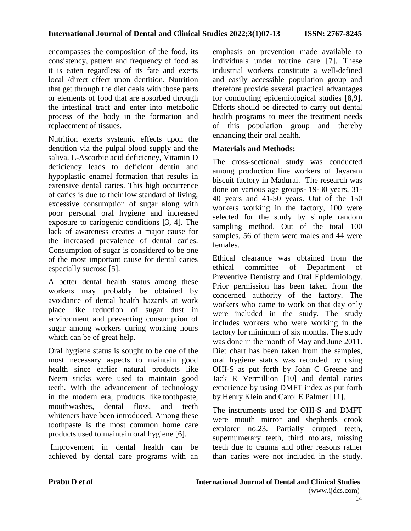encompasses the composition of the food, its consistency, pattern and frequency of food as it is eaten regardless of its fate and exerts local /direct effect upon dentition. Nutrition that get through the diet deals with those parts or elements of food that are absorbed through the intestinal tract and enter into metabolic process of the body in the formation and replacement of tissues.

Nutrition exerts systemic effects upon the dentition via the pulpal blood supply and the saliva. L-Ascorbic acid deficiency, Vitamin D deficiency leads to deficient dentin and hypoplastic enamel formation that results in extensive dental caries. This high occurrence of caries is due to their low standard of living, excessive consumption of sugar along with poor personal oral hygiene and increased exposure to cariogenic conditions [3, 4]. The lack of awareness creates a major cause for the increased prevalence of dental caries. Consumption of sugar is considered to be one of the most important cause for dental caries especially sucrose [5].

A better dental health status among these workers may probably be obtained by avoidance of dental health hazards at work place like reduction of sugar dust in environment and preventing consumption of sugar among workers during working hours which can be of great help.

Oral hygiene status is sought to be one of the most necessary aspects to maintain good health since earlier natural products like Neem sticks were used to maintain good teeth. With the advancement of technology in the modern era, products like toothpaste, mouthwashes, dental floss, and teeth whiteners have been introduced. Among these toothpaste is the most common home care products used to maintain oral hygiene [6].

Improvement in dental health can be achieved by dental care programs with an emphasis on prevention made available to individuals under routine care [7]. These industrial workers constitute a well-defined and easily accessible population group and therefore provide several practical advantages for conducting epidemiological studies [8,9]. Efforts should be directed to carry out dental health programs to meet the treatment needs of this population group and thereby enhancing their oral health.

## **Materials and Methods:**

The cross-sectional study was conducted among production line workers of Jayaram biscuit factory in Madurai. The research was done on various age groups- 19-30 years, 31- 40 years and 41-50 years. Out of the 150 workers working in the factory, 100 were selected for the study by simple random sampling method. Out of the total 100 samples, 56 of them were males and 44 were females.

Ethical clearance was obtained from the ethical committee of Department of Preventive Dentistry and Oral Epidemiology. Prior permission has been taken from the concerned authority of the factory. The workers who came to work on that day only were included in the study. The study includes workers who were working in the factory for minimum of six months. The study was done in the month of May and June 2011. Diet chart has been taken from the samples, oral hygiene status was recorded by using OHI-S as put forth by John C Greene and Jack R Vermillion [10] and dental caries experience by using DMFT index as put forth by Henry Klein and Carol E Palmer [11].

The instruments used for OHI-S and DMFT were mouth mirror and shepherds crook explorer no.23. Partially erupted teeth, supernumerary teeth, third molars, missing teeth due to trauma and other reasons rather than caries were not included in the study.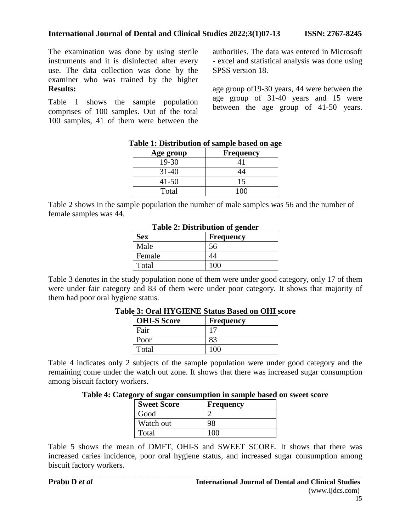The examination was done by using sterile instruments and it is disinfected after every use. The data collection was done by the examiner who was trained by the higher **Results:**

Table 1 shows the sample population comprises of 100 samples. Out of the total 100 samples, 41 of them were between the authorities. The data was entered in Microsoft - excel and statistical analysis was done using SPSS version 18.

age group of19-30 years, 44 were between the age group of 31-40 years and 15 were between the age group of 41-50 years.

| Age group | <b>Frequency</b> |
|-----------|------------------|
| 19-30     |                  |
| 31-40     |                  |
| $41 - 50$ | 15               |
| Total     |                  |

#### **Table 1: Distribution of sample based on age**

Table 2 shows in the sample population the number of male samples was 56 and the number of female samples was 44.

| Table 2: Distribution of genuer |                  |  |  |
|---------------------------------|------------------|--|--|
| <b>Sex</b>                      | <b>Frequency</b> |  |  |
| Male                            | 56               |  |  |
| Female                          | 44               |  |  |
| Total                           | 100              |  |  |

**Table 2: Distribution of gender**

Table 3 denotes in the study population none of them were under good category, only 17 of them were under fair category and 83 of them were under poor category. It shows that majority of them had poor oral hygiene status.

| <b>OHI-S Score</b> |  | Frequency |  |  |
|--------------------|--|-----------|--|--|
| Fair               |  |           |  |  |
| Poor               |  |           |  |  |
| Total              |  |           |  |  |

## **Table 3: Oral HYGIENE Status Based on OHI score**

Table 4 indicates only 2 subjects of the sample population were under good category and the remaining come under the watch out zone. It shows that there was increased sugar consumption among biscuit factory workers.

|  | Table 4: Category of sugar consumption in sample based on sweet score |  |  |  |
|--|-----------------------------------------------------------------------|--|--|--|
|  |                                                                       |  |  |  |

| <b>Sweet Score</b> | <b>Frequency</b> |
|--------------------|------------------|
| Good               |                  |
| Watch out          |                  |
| Total              |                  |

Table 5 shows the mean of DMFT, OHI-S and SWEET SCORE. It shows that there was increased caries incidence, poor oral hygiene status, and increased sugar consumption among biscuit factory workers.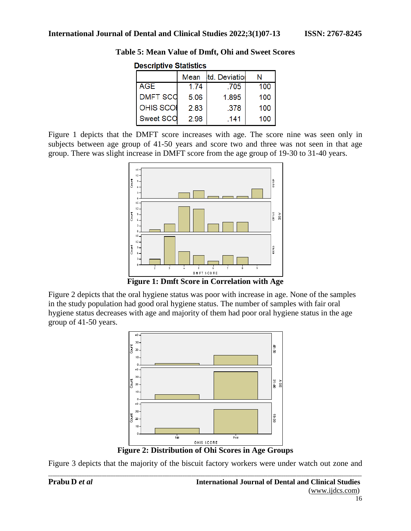| <b>Descriptive Statistics</b> |      |               |     |  |  |  |
|-------------------------------|------|---------------|-----|--|--|--|
|                               | Mean | td. Deviation | N   |  |  |  |
| <b>AGE</b>                    | 1.74 | .705          | 100 |  |  |  |
| <b>DMFT SCC</b>               | 5.06 | 1.895         | 100 |  |  |  |
| <b>OHIS SCOI</b>              | 2.83 | .378          | 100 |  |  |  |
| <b>Sweet SCO</b>              | 2.98 | .141          | 100 |  |  |  |

**Table 5: Mean Value of Dmft, Ohi and Sweet Scores**

Figure 1 depicts that the DMFT score increases with age. The score nine was seen only in subjects between age group of 41-50 years and score two and three was not seen in that age group. There was slight increase in DMFT score from the age group of 19-30 to 31-40 years.



**Figure 1: Dmft Score in Correlation with Age**

Figure 2 depicts that the oral hygiene status was poor with increase in age. None of the samples in the study population had good oral hygiene status. The number of samples with fair oral hygiene status decreases with age and majority of them had poor oral hygiene status in the age group of 41-50 years.



**Figure 2: Distribution of Ohi Scores in Age Groups**

*\_\_\_\_\_\_\_\_\_\_\_\_\_\_\_\_\_\_\_\_\_\_\_\_\_\_\_\_\_\_\_\_\_\_\_\_\_\_\_\_\_\_\_\_\_\_\_\_\_\_\_\_\_\_\_\_\_\_\_\_\_\_\_\_\_\_\_\_\_\_\_\_\_\_\_\_\_\_\_\_\_\_\_\_\_\_\_\_\_\_\_\_\_\_\_\_\_\_\_\_\_\_\_\_\_\_\_\_\_\_\_\_\_\_\_\_\_\_\_\_\_\_\_\_\_\_\_\_\_\_\_\_\_\_\_\_\_\_\_\_* Figure 3 depicts that the majority of the biscuit factory workers were under watch out zone and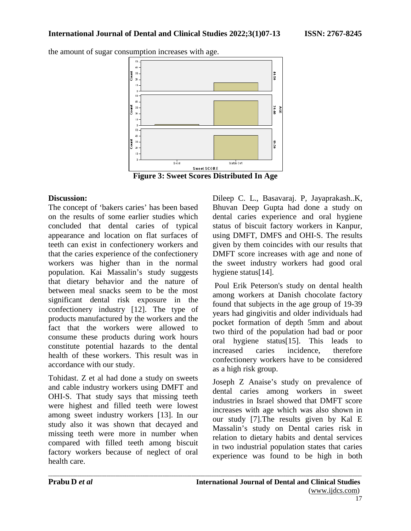the amount of sugar consumption increases with age.



*\_\_\_\_\_\_\_\_\_\_\_\_\_\_\_\_\_\_\_\_\_\_\_\_\_\_\_\_\_\_\_\_\_\_\_\_\_\_\_\_\_\_\_\_\_\_\_\_\_\_\_\_\_\_\_\_\_\_\_\_\_\_\_\_\_\_\_\_\_\_\_\_\_\_\_\_\_\_\_\_\_\_\_\_\_\_\_\_\_\_\_\_\_\_\_\_\_\_\_\_\_\_\_\_\_\_\_\_\_\_\_\_\_\_\_\_\_\_\_\_\_\_\_\_\_\_\_\_\_\_\_\_\_\_\_\_\_\_\_\_*

## **Discussion:**

The concept of 'bakers caries' has been based on the results of some earlier studies which concluded that dental caries of typical appearance and location on flat surfaces of teeth can exist in confectionery workers and that the caries experience of the confectionery workers was higher than in the normal population. Kai Massalin's study suggests that dietary behavior and the nature of between meal snacks seem to be the most significant dental risk exposure in the confectionery industry [12]. The type of products manufactured by the workers and the fact that the workers were allowed to consume these products during work hours constitute potential hazards to the dental health of these workers. This result was in accordance with our study.

Tohidast. Z et al had done a study on sweets and cable industry workers using DMFT and OHI-S. That study says that missing teeth were highest and filled teeth were lowest among sweet industry workers [13]. In our study also it was shown that decayed and missing teeth were more in number when compared with filled teeth among biscuit factory workers because of neglect of oral health care.

Dileep C. L., Basavaraj. P, Jayaprakash..K, Bhuvan Deep Gupta had done a study on dental caries experience and oral hygiene status of biscuit factory workers in Kanpur, using DMFT, DMFS and OHI-S. The results given by them coincides with our results that DMFT score increases with age and none of the sweet industry workers had good oral hygiene status[14].

Poul Erik Peterson's study on dental health among workers at Danish chocolate factory found that subjects in the age group of 19-39 years had gingivitis and older individuals had pocket formation of depth 5mm and about two third of the population had bad or poor oral hygiene status[15]. This leads to increased caries incidence, therefore confectionery workers have to be considered as a high risk group.

Joseph Z Anaise's study on prevalence of dental caries among workers in sweet industries in Israel showed that DMFT score increases with age which was also shown in our study [7].The results given by Kal E Massalin's study on Dental caries risk in relation to dietary habits and dental services in two industrial population states that caries experience was found to be high in both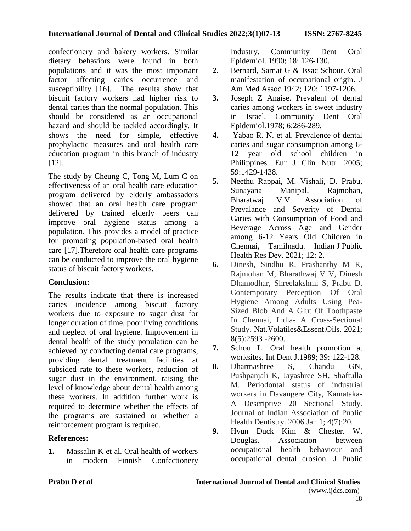confectionery and bakery workers. Similar dietary behaviors were found in both populations and it was the most important factor affecting caries occurrence and susceptibility [16]. The results show that biscuit factory workers had higher risk to dental caries than the normal population. This should be considered as an occupational hazard and should be tackled accordingly. It shows the need for simple, effective prophylactic measures and oral health care education program in this branch of industry [12].

The study by Cheung C, Tong M, Lum C on effectiveness of an oral health care education program delivered by elderly ambassadors showed that an oral health care program delivered by trained elderly peers can improve oral hygiene status among a population. This provides a model of practice for promoting population-based oral health care [17].Therefore oral health care programs can be conducted to improve the oral hygiene status of biscuit factory workers.

# **Conclusion:**

The results indicate that there is increased caries incidence among biscuit factory workers due to exposure to sugar dust for longer duration of time, poor living conditions and neglect of oral hygiene. Improvement in dental health of the study population can be achieved by conducting dental care programs, providing dental treatment facilities at subsided rate to these workers, reduction of sugar dust in the environment, raising the level of knowledge about dental health among these workers. In addition further work is required to determine whether the effects of the programs are sustained or whether a reinforcement program is required.

# **References:**

**1.** Massalin K et al. Oral health of workers in modern Finnish Confectionery Industry. Community Dent Oral Epidemiol. 1990; 18: 126-130.

- **2.** Bernard, Sarnat G & Issac Schour. Oral manifestation of occupational origin. J Am Med Assoc.1942; 120: 1197-1206.
- **3.** Joseph Z Anaise. Prevalent of dental caries among workers in sweet industry in Israel. Community Dent Oral Epidemiol.1978; 6:286-289.
- **4.** Yabao R. N. et al. Prevalence of dental caries and sugar consumption among 6- 12 year old school children in Philippines. Eur J Clin Nutr. 2005; 59:1429-1438.
- **5.** Neethu Rappai, M. Vishali, D. Prabu, Sunayana Manipal, Rajmohan, V.V. Association of Prevalance and Severity of Dental Caries with Consumption of Food and Beverage Across Age and Gender among 6-12 Years Old Children in Chennai, Tamilnadu. Indian J Public Health Res Dev. 2021; 12: 2.
- **6.** Dinesh, Sindhu R, Prashanthy M R, Rajmohan M, Bharathwaj V V, Dinesh Dhamodhar, Shreelakshmi S, Prabu D. Contemporary Perception Of Oral Hygiene Among Adults Using Pea-Sized Blob And A Glut Of Toothpaste In Chennai, India- A Cross-Sectional Study. Nat.Volatiles&Essent.Oils. 2021; 8(5):2593 -2600.
- **7.** Schou L. Oral health promotion at worksites. Int Dent J.1989; 39: 122-128.
- **8.** Dharmashree S, Chandu GN, Pushpanjali K, Jayashree SH, Shaftulla M. Periodontal status of industrial workers in Davangere City, Kamataka-A Descriptive 20 Sectional Study. Journal of Indian Association of Public Health Dentistry. 2006 Jan 1; 4(7):20.
- **9.** Hyun Duck Kim & Chester. W. Douglas. Association between occupational health behaviour and occupational dental erosion. J Public